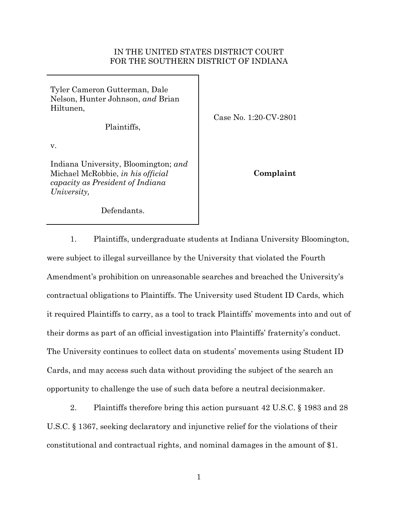## IN THE UNITED STATES DISTRICT COURT FOR THE SOUTHERN DISTRICT OF INDIANA

Tyler Cameron Gutterman, Dale Nelson, Hunter Johnson, *and* Brian Hiltunen,

Plaintiffs,

Case No. 1:20-CV-2801

v.

Indiana University, Bloomington; *and* Michael McRobbie, *in his official capacity as President of Indiana University,*

**Complaint**

Defendants.

1. Plaintiffs, undergraduate students at Indiana University Bloomington, were subject to illegal surveillance by the University that violated the Fourth Amendment's prohibition on unreasonable searches and breached the University's contractual obligations to Plaintiffs. The University used Student ID Cards, which it required Plaintiffs to carry, as a tool to track Plaintiffs' movements into and out of their dorms as part of an official investigation into Plaintiffs' fraternity's conduct. The University continues to collect data on students' movements using Student ID Cards, and may access such data without providing the subject of the search an opportunity to challenge the use of such data before a neutral decisionmaker.

2. Plaintiffs therefore bring this action pursuant 42 U.S.C. § 1983 and 28 U.S.C. § 1367, seeking declaratory and injunctive relief for the violations of their constitutional and contractual rights, and nominal damages in the amount of \$1.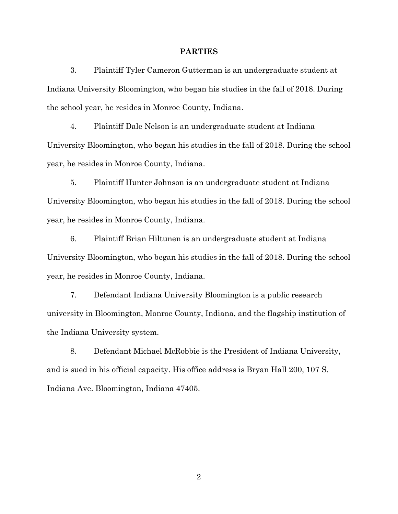#### **PARTIES**

3. Plaintiff Tyler Cameron Gutterman is an undergraduate student at Indiana University Bloomington, who began his studies in the fall of 2018. During the school year, he resides in Monroe County, Indiana.

4. Plaintiff Dale Nelson is an undergraduate student at Indiana University Bloomington, who began his studies in the fall of 2018. During the school year, he resides in Monroe County, Indiana.

5. Plaintiff Hunter Johnson is an undergraduate student at Indiana University Bloomington, who began his studies in the fall of 2018. During the school year, he resides in Monroe County, Indiana.

6. Plaintiff Brian Hiltunen is an undergraduate student at Indiana University Bloomington, who began his studies in the fall of 2018. During the school year, he resides in Monroe County, Indiana.

7. Defendant Indiana University Bloomington is a public research university in Bloomington, Monroe County, Indiana, and the flagship institution of the Indiana University system.

8. Defendant Michael McRobbie is the President of Indiana University, and is sued in his official capacity. His office address is Bryan Hall 200, 107 S. Indiana Ave. Bloomington, Indiana 47405.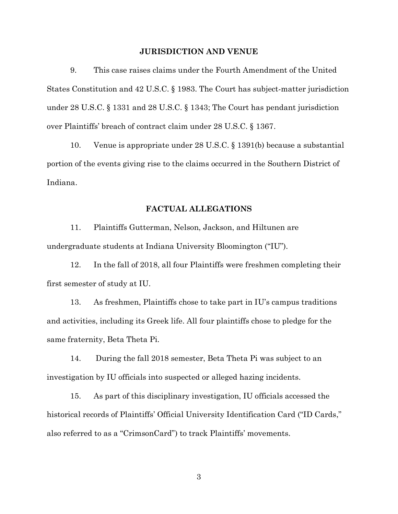## **JURISDICTION AND VENUE**

9. This case raises claims under the Fourth Amendment of the United States Constitution and 42 U.S.C. § 1983. The Court has subject-matter jurisdiction under 28 U.S.C. § 1331 and 28 U.S.C. § 1343; The Court has pendant jurisdiction over Plaintiffs' breach of contract claim under 28 U.S.C. § 1367.

10. Venue is appropriate under 28 U.S.C. § 1391(b) because a substantial portion of the events giving rise to the claims occurred in the Southern District of Indiana.

## **FACTUAL ALLEGATIONS**

11. Plaintiffs Gutterman, Nelson, Jackson, and Hiltunen are undergraduate students at Indiana University Bloomington ("IU").

12. In the fall of 2018, all four Plaintiffs were freshmen completing their first semester of study at IU.

13. As freshmen, Plaintiffs chose to take part in IU's campus traditions and activities, including its Greek life. All four plaintiffs chose to pledge for the same fraternity, Beta Theta Pi.

14. During the fall 2018 semester, Beta Theta Pi was subject to an investigation by IU officials into suspected or alleged hazing incidents.

15. As part of this disciplinary investigation, IU officials accessed the historical records of Plaintiffs' Official University Identification Card ("ID Cards," also referred to as a "CrimsonCard") to track Plaintiffs' movements.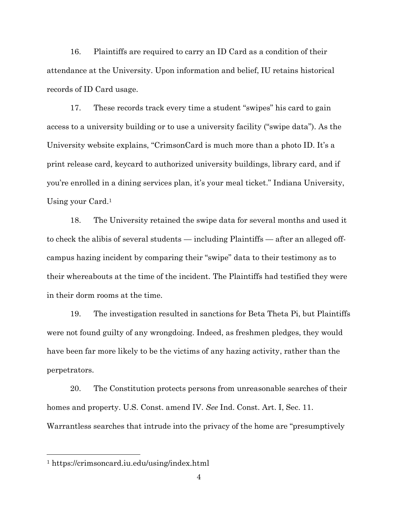16. Plaintiffs are required to carry an ID Card as a condition of their attendance at the University. Upon information and belief, IU retains historical records of ID Card usage.

17. These records track every time a student "swipes" his card to gain access to a university building or to use a university facility ("swipe data"). As the University website explains, "CrimsonCard is much more than a photo ID. It's a print release card, keycard to authorized university buildings, library card, and if you're enrolled in a dining services plan, it's your meal ticket." Indiana University, Using your Card.<sup>1</sup>

18. The University retained the swipe data for several months and used it to check the alibis of several students — including Plaintiffs — after an alleged offcampus hazing incident by comparing their "swipe" data to their testimony as to their whereabouts at the time of the incident. The Plaintiffs had testified they were in their dorm rooms at the time.

19. The investigation resulted in sanctions for Beta Theta Pi, but Plaintiffs were not found guilty of any wrongdoing. Indeed, as freshmen pledges, they would have been far more likely to be the victims of any hazing activity, rather than the perpetrators.

20. The Constitution protects persons from unreasonable searches of their homes and property. U.S. Const. amend IV. *See* Ind. Const. Art. I, Sec. 11. Warrantless searches that intrude into the privacy of the home are "presumptively

<sup>1</sup> https://crimsoncard.iu.edu/using/index.html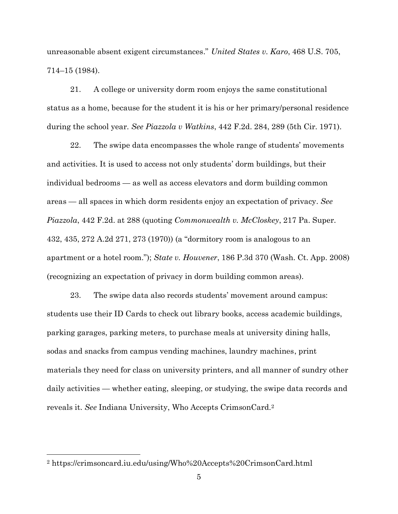unreasonable absent exigent circumstances." *United States v. Karo*, 468 U.S. 705, 714–15 (1984).

21. A college or university dorm room enjoys the same constitutional status as a home, because for the student it is his or her primary/personal residence during the school year. *See Piazzola v Watkins*, 442 F.2d. 284, 289 (5th Cir. 1971).

22. The swipe data encompasses the whole range of students' movements and activities. It is used to access not only students' dorm buildings, but their individual bedrooms — as well as access elevators and dorm building common areas — all spaces in which dorm residents enjoy an expectation of privacy. *See Piazzola*, 442 F.2d. at 288 (quoting *Commonwealth v. McCloskey*, 217 Pa. Super. 432, 435, 272 A.2d 271, 273 (1970)) (a "dormitory room is analogous to an apartment or a hotel room."); *State v. Houvener*, 186 P.3d 370 (Wash. Ct. App. 2008) (recognizing an expectation of privacy in dorm building common areas).

23. The swipe data also records students' movement around campus: students use their ID Cards to check out library books, access academic buildings, parking garages, parking meters, to purchase meals at university dining halls, sodas and snacks from campus vending machines, laundry machines, print materials they need for class on university printers, and all manner of sundry other daily activities — whether eating, sleeping, or studying, the swipe data records and reveals it. *See* Indiana University, Who Accepts CrimsonCard.<sup>2</sup>

<sup>2</sup> https://crimsoncard.iu.edu/using/Who%20Accepts%20CrimsonCard.html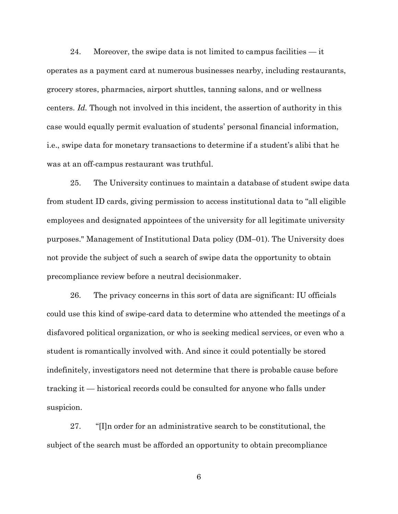24. Moreover, the swipe data is not limited to campus facilities  $-$  it operates as a payment card at numerous businesses nearby, including restaurants, grocery stores, pharmacies, airport shuttles, tanning salons, and or wellness centers. *Id.* Though not involved in this incident, the assertion of authority in this case would equally permit evaluation of students' personal financial information, i.e., swipe data for monetary transactions to determine if a student's alibi that he was at an off-campus restaurant was truthful.

25. The University continues to maintain a database of student swipe data from student ID cards, giving permission to access institutional data to "all eligible employees and designated appointees of the university for all legitimate university purposes." Management of Institutional Data policy (DM–01). The University does not provide the subject of such a search of swipe data the opportunity to obtain precompliance review before a neutral decisionmaker.

26. The privacy concerns in this sort of data are significant: IU officials could use this kind of swipe-card data to determine who attended the meetings of a disfavored political organization, or who is seeking medical services, or even who a student is romantically involved with. And since it could potentially be stored indefinitely, investigators need not determine that there is probable cause before tracking it — historical records could be consulted for anyone who falls under suspicion.

27. "[I]n order for an administrative search to be constitutional, the subject of the search must be afforded an opportunity to obtain precompliance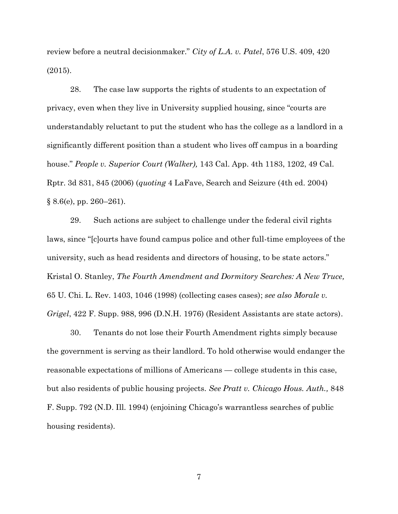review before a neutral decisionmaker." *City of L.A. v. Patel*, 576 U.S. 409, 420 (2015).

28. The case law supports the rights of students to an expectation of privacy, even when they live in University supplied housing, since "courts are understandably reluctant to put the student who has the college as a landlord in a significantly different position than a student who lives off campus in a boarding house." *People v. Superior Court (Walker),* 143 Cal. App. 4th 1183, 1202, 49 Cal. Rptr. 3d 831, 845 (2006) (*quoting* 4 LaFave, Search and Seizure (4th ed. 2004)  $§ 8.6(e), pp. 260-261$ .

29. Such actions are subject to challenge under the federal civil rights laws, since "[c]ourts have found campus police and other full-time employees of the university, such as head residents and directors of housing, to be state actors." Kristal O. Stanley, *The Fourth Amendment and Dormitory Searches: A New Truce,* 65 U. Chi. L. Rev. 1403, 1046 (1998) (collecting cases cases); *see also Morale v. Grigel*, 422 F. Supp. 988, 996 (D.N.H. 1976) (Resident Assistants are state actors).

30. Tenants do not lose their Fourth Amendment rights simply because the government is serving as their landlord. To hold otherwise would endanger the reasonable expectations of millions of Americans — college students in this case, but also residents of public housing projects. *See Pratt v. Chicago Hous. Auth.,* 848 F. Supp. 792 (N.D. Ill. 1994) (enjoining Chicago's warrantless searches of public housing residents).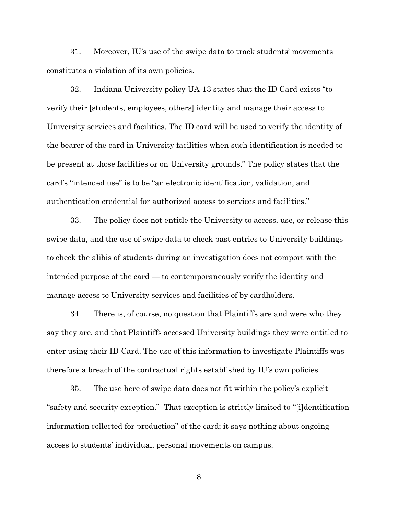31. Moreover, IU's use of the swipe data to track students' movements constitutes a violation of its own policies.

32. Indiana University policy UA-13 states that the ID Card exists "to verify their [students, employees, others] identity and manage their access to University services and facilities. The ID card will be used to verify the identity of the bearer of the card in University facilities when such identification is needed to be present at those facilities or on University grounds." The policy states that the card's "intended use" is to be "an electronic identification, validation, and authentication credential for authorized access to services and facilities."

33. The policy does not entitle the University to access, use, or release this swipe data, and the use of swipe data to check past entries to University buildings to check the alibis of students during an investigation does not comport with the intended purpose of the card — to contemporaneously verify the identity and manage access to University services and facilities of by cardholders.

34. There is, of course, no question that Plaintiffs are and were who they say they are, and that Plaintiffs accessed University buildings they were entitled to enter using their ID Card. The use of this information to investigate Plaintiffs was therefore a breach of the contractual rights established by IU's own policies.

35. The use here of swipe data does not fit within the policy's explicit "safety and security exception." That exception is strictly limited to "[i]dentification information collected for production" of the card; it says nothing about ongoing access to students' individual, personal movements on campus.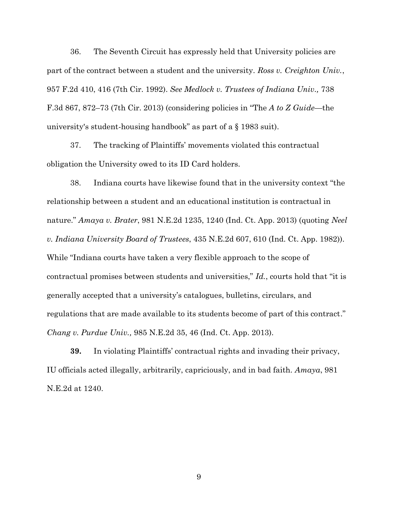36. The Seventh Circuit has expressly held that University policies are part of the contract between a student and the university. *Ross v. Creighton Univ.*, 957 F.2d 410, 416 (7th Cir. 1992). *See Medlock v. Trustees of Indiana Univ.,* 738 F.3d 867, 872–73 (7th Cir. 2013) (considering policies in "The *A to Z Guide*—the university's student-housing handbook" as part of a § 1983 suit).

37. The tracking of Plaintiffs' movements violated this contractual obligation the University owed to its ID Card holders.

38. Indiana courts have likewise found that in the university context "the relationship between a student and an educational institution is contractual in nature." *Amaya v. Brater*, 981 N.E.2d 1235, 1240 (Ind. Ct. App. 2013) (quoting *Neel v. Indiana University Board of Trustees*, 435 N.E.2d 607, 610 (Ind. Ct. App. 1982)). While "Indiana courts have taken a very flexible approach to the scope of contractual promises between students and universities," *Id.*, courts hold that "it is generally accepted that a university's catalogues, bulletins, circulars, and regulations that are made available to its students become of part of this contract." *Chang v. Purdue Univ.,* 985 N.E.2d 35, 46 (Ind. Ct. App. 2013).

**39.** In violating Plaintiffs' contractual rights and invading their privacy, IU officials acted illegally, arbitrarily, capriciously, and in bad faith. *Amaya*, 981 N.E.2d at 1240.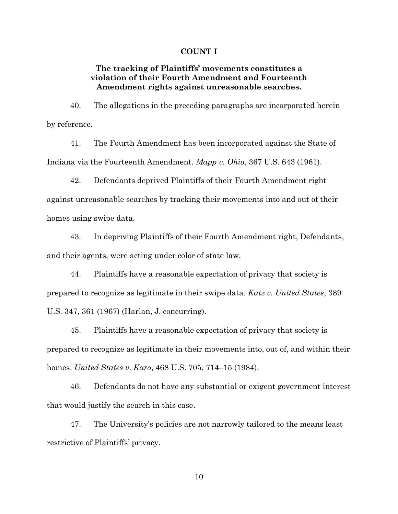#### **COUNT I**

# **The tracking of Plaintiffs' movements constitutes a violation of their Fourth Amendment and Fourteenth Amendment rights against unreasonable searches.**

40. The allegations in the preceding paragraphs are incorporated herein by reference.

41. The Fourth Amendment has been incorporated against the State of Indiana via the Fourteenth Amendment. *Mapp v. Ohio*, 367 U.S. 643 (1961).

42. Defendants deprived Plaintiffs of their Fourth Amendment right against unreasonable searches by tracking their movements into and out of their homes using swipe data.

43. In depriving Plaintiffs of their Fourth Amendment right, Defendants, and their agents, were acting under color of state law.

44. Plaintiffs have a reasonable expectation of privacy that society is prepared to recognize as legitimate in their swipe data. *Katz v. United States*, 389 U.S. 347, 361 (1967) (Harlan, J. concurring).

45. Plaintiffs have a reasonable expectation of privacy that society is prepared to recognize as legitimate in their movements into, out of, and within their homes. *United States v. Karo*, 468 U.S. 705, 714–15 (1984).

46. Defendants do not have any substantial or exigent government interest that would justify the search in this case.

47. The University's policies are not narrowly tailored to the means least restrictive of Plaintiffs' privacy.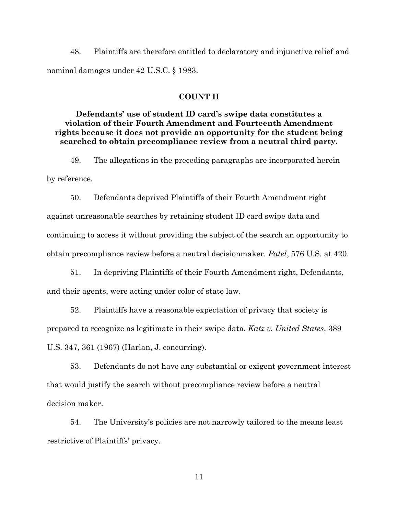48. Plaintiffs are therefore entitled to declaratory and injunctive relief and nominal damages under 42 U.S.C. § 1983.

#### **COUNT II**

# **Defendants' use of student ID card's swipe data constitutes a violation of their Fourth Amendment and Fourteenth Amendment rights because it does not provide an opportunity for the student being searched to obtain precompliance review from a neutral third party.**

49. The allegations in the preceding paragraphs are incorporated herein by reference.

50. Defendants deprived Plaintiffs of their Fourth Amendment right against unreasonable searches by retaining student ID card swipe data and continuing to access it without providing the subject of the search an opportunity to obtain precompliance review before a neutral decisionmaker. *Patel*, 576 U.S. at 420.

51. In depriving Plaintiffs of their Fourth Amendment right, Defendants, and their agents, were acting under color of state law.

52. Plaintiffs have a reasonable expectation of privacy that society is prepared to recognize as legitimate in their swipe data. *Katz v. United States*, 389 U.S. 347, 361 (1967) (Harlan, J. concurring).

53. Defendants do not have any substantial or exigent government interest that would justify the search without precompliance review before a neutral decision maker.

54. The University's policies are not narrowly tailored to the means least restrictive of Plaintiffs' privacy.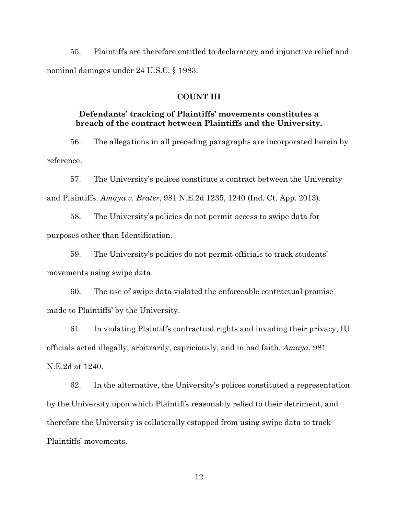55. Plaintiffs are therefore entitled to declaratory and injunctive relief and nominal damages under 24 U.S.C. § 1983.

#### **COUNT III**

# **Defendants' tracking of Plaintiffs' movements constitutes a breach of the contract between Plaintiffs and the University.**

56. The allegations in all preceding paragraphs are incorporated herein by reference.

57. The University's polices constitute a contract between the University and Plaintiffs. *Amaya v. Brater*, 981 N.E.2d 1235, 1240 (Ind. Ct. App. 2013).

58. The University's policies do not permit access to swipe data for purposes other than Identification.

59. The University's policies do not permit officials to track students' movements using swipe data.

60. The use of swipe data violated the enforceable contractual promise made to Plaintiffs' by the University.

61. In violating Plaintiffs contractual rights and invading their privacy, IU officials acted illegally, arbitrarily, capriciously, and in bad faith. *Amaya*, 981 N.E.2d at 1240.

62. In the alternative, the University's polices constituted a representation by the University upon which Plaintiffs reasonably relied to their detriment, and therefore the University is collaterally estopped from using swipe data to track Plaintiffs' movements.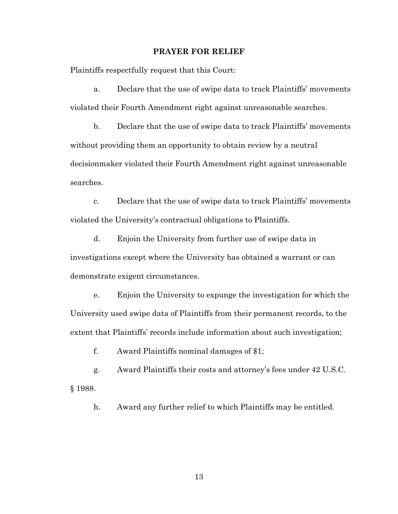## **PRAYER FOR RELIEF**

Plaintiffs respectfully request that this Court:

a. Declare that the use of swipe data to track Plaintiffs' movements violated their Fourth Amendment right against unreasonable searches.

b. Declare that the use of swipe data to track Plaintiffs' movements without providing them an opportunity to obtain review by a neutral decisionmaker violated their Fourth Amendment right against unreasonable searches.

c. Declare that the use of swipe data to track Plaintiffs' movements violated the University's contractual obligations to Plaintiffs.

d. Enjoin the University from further use of swipe data in investigations except where the University has obtained a warrant or can demonstrate exigent circumstances.

e. Enjoin the University to expunge the investigation for which the University used swipe data of Plaintiffs from their permanent records, to the extent that Plaintiffs' records include information about such investigation;

f. Award Plaintiffs nominal damages of \$1;

g. Award Plaintiffs their costs and attorney's fees under 42 U.S.C. § 1988.

h. Award any further relief to which Plaintiffs may be entitled.